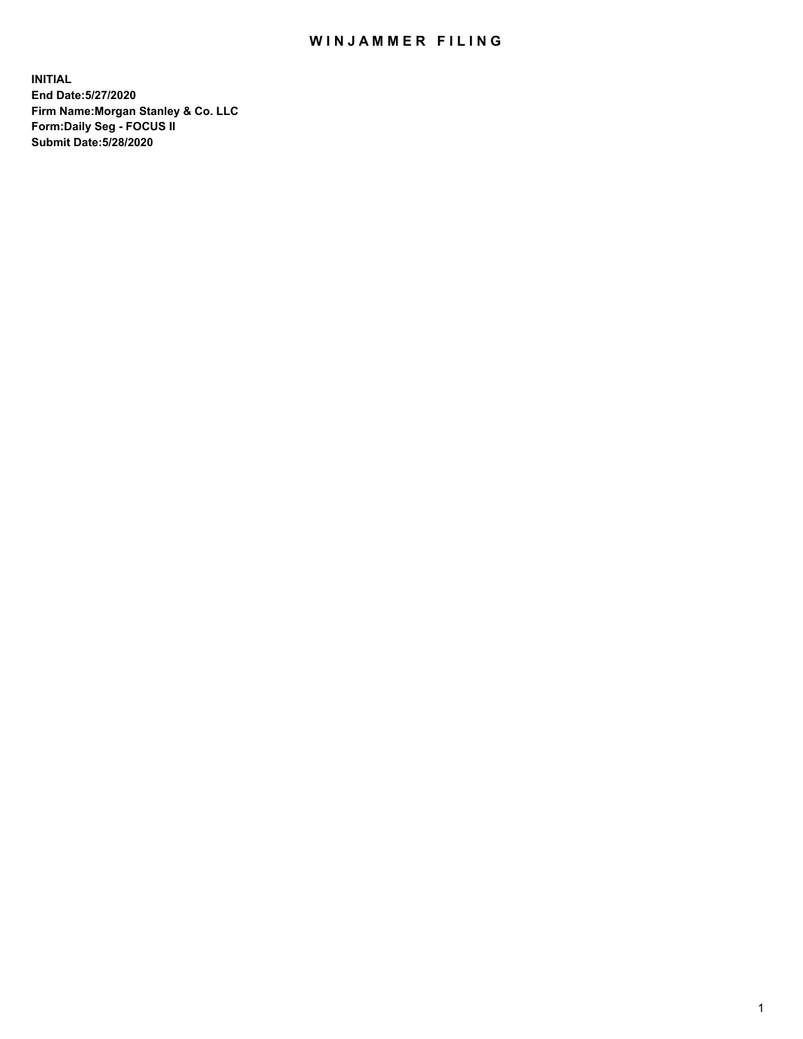## WIN JAMMER FILING

**INITIAL End Date:5/27/2020 Firm Name:Morgan Stanley & Co. LLC Form:Daily Seg - FOCUS II Submit Date:5/28/2020**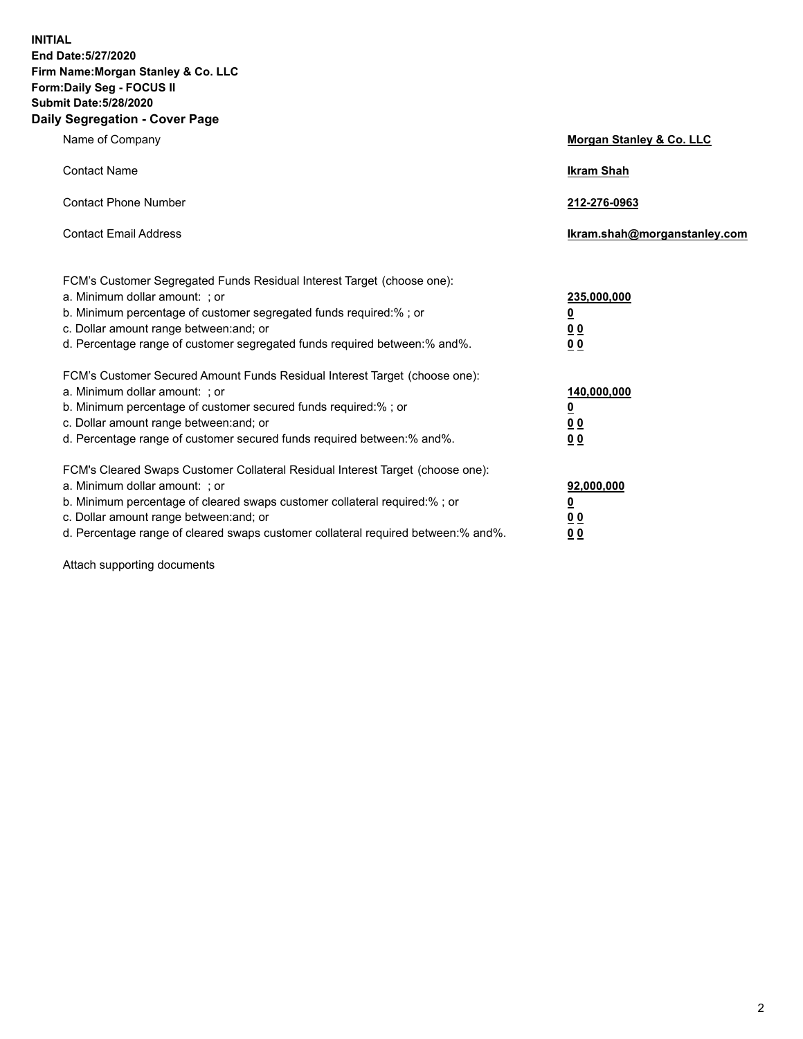**INITIAL End Date:5/27/2020 Firm Name:Morgan Stanley & Co. LLC Form:Daily Seg - FOCUS II Submit Date:5/28/2020 Daily Segregation - Cover Page**

| Name of Company                                                                                                                                                                                                                                                                                                                | Morgan Stanley & Co. LLC                                |
|--------------------------------------------------------------------------------------------------------------------------------------------------------------------------------------------------------------------------------------------------------------------------------------------------------------------------------|---------------------------------------------------------|
| <b>Contact Name</b>                                                                                                                                                                                                                                                                                                            | <b>Ikram Shah</b>                                       |
| <b>Contact Phone Number</b>                                                                                                                                                                                                                                                                                                    | 212-276-0963                                            |
| <b>Contact Email Address</b>                                                                                                                                                                                                                                                                                                   | Ikram.shah@morganstanley.com                            |
| FCM's Customer Segregated Funds Residual Interest Target (choose one):<br>a. Minimum dollar amount: ; or<br>b. Minimum percentage of customer segregated funds required:% ; or<br>c. Dollar amount range between: and; or<br>d. Percentage range of customer segregated funds required between:% and%.                         | 235,000,000<br><u>0</u><br><u>00</u><br><u>00</u>       |
| FCM's Customer Secured Amount Funds Residual Interest Target (choose one):<br>a. Minimum dollar amount: ; or<br>b. Minimum percentage of customer secured funds required:%; or<br>c. Dollar amount range between: and; or<br>d. Percentage range of customer secured funds required between:% and%.                            | 140,000,000<br><u>0</u><br><u>0 0</u><br>0 <sub>0</sub> |
| FCM's Cleared Swaps Customer Collateral Residual Interest Target (choose one):<br>a. Minimum dollar amount: ; or<br>b. Minimum percentage of cleared swaps customer collateral required:% ; or<br>c. Dollar amount range between: and; or<br>d. Percentage range of cleared swaps customer collateral required between:% and%. | 92,000,000<br><u>0</u><br><u>00</u><br>00               |

Attach supporting documents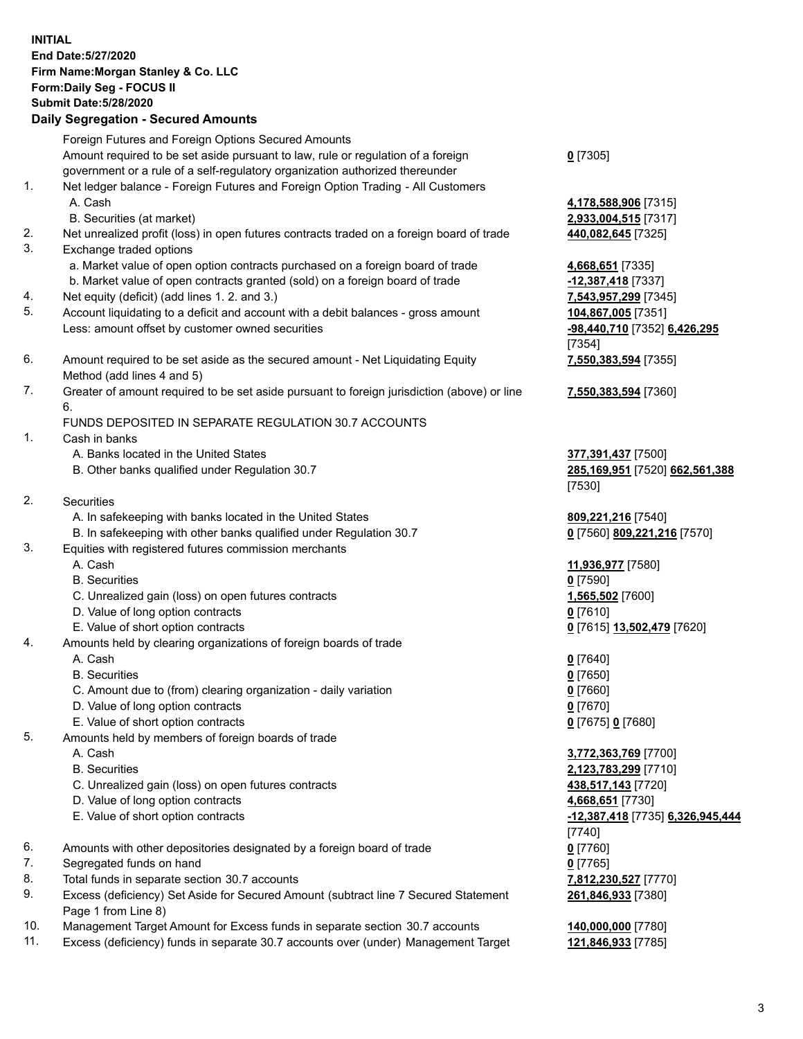## **INITIAL End Date:5/27/2020 Firm Name:Morgan Stanley & Co. LLC Form:Daily Seg - FOCUS II Submit Date:5/28/2020 Daily Segregation - Secured Amounts** Foreign Futures and Foreign Options Secured Amounts Amount required to be set aside pursuant to law, rule or regulation of a foreign government or a rule of a self-regulatory organization authorized thereunder **0** [7305] 1. Net ledger balance - Foreign Futures and Foreign Option Trading - All Customers A. Cash **4,178,588,906** [7315] B. Securities (at market) **2,933,004,515** [7317] 2. Net unrealized profit (loss) in open futures contracts traded on a foreign board of trade **440,082,645** [7325] 3. Exchange traded options a. Market value of open option contracts purchased on a foreign board of trade **4,668,651** [7335] b. Market value of open contracts granted (sold) on a foreign board of trade **-12,387,418** [7337] 4. Net equity (deficit) (add lines 1. 2. and 3.) **7,543,957,299** [7345] 5. Account liquidating to a deficit and account with a debit balances - gross amount **104,867,005** [7351] Less: amount offset by customer owned securities **-98,440,710** [7352] **6,426,295** [7354] 6. Amount required to be set aside as the secured amount - Net Liquidating Equity Method (add lines 4 and 5) **7,550,383,594** [7355] 7. Greater of amount required to be set aside pursuant to foreign jurisdiction (above) or line 6. **7,550,383,594** [7360] FUNDS DEPOSITED IN SEPARATE REGULATION 30.7 ACCOUNTS 1. Cash in banks A. Banks located in the United States **377,391,437** [7500] B. Other banks qualified under Regulation 30.7 **285,169,951** [7520] **662,561,388** [7530] 2. Securities A. In safekeeping with banks located in the United States **809,221,216** [7540] B. In safekeeping with other banks qualified under Regulation 30.7 **0** [7560] **809,221,216** [7570] 3. Equities with registered futures commission merchants A. Cash **11,936,977** [7580] B. Securities **0** [7590] C. Unrealized gain (loss) on open futures contracts **1,565,502** [7600] D. Value of long option contracts **0** [7610] E. Value of short option contracts **0** [7615] **13,502,479** [7620] 4. Amounts held by clearing organizations of foreign boards of trade A. Cash **0** [7640] B. Securities **0** [7650] C. Amount due to (from) clearing organization - daily variation **0** [7660] D. Value of long option contracts **0** [7670] E. Value of short option contracts **0** [7675] **0** [7680] 5. Amounts held by members of foreign boards of trade A. Cash **3,772,363,769** [7700] B. Securities **2,123,783,299** [7710] C. Unrealized gain (loss) on open futures contracts **438,517,143** [7720] D. Value of long option contracts **4,668,651** [7730] E. Value of short option contracts **-12,387,418** [7735] **6,326,945,444** [7740] 6. Amounts with other depositories designated by a foreign board of trade **0** [7760] 7. Segregated funds on hand **0** [7765] 8. Total funds in separate section 30.7 accounts **7,812,230,527** [7770] 9. Excess (deficiency) Set Aside for Secured Amount (subtract line 7 Secured Statement **261,846,933** [7380]

10. Management Target Amount for Excess funds in separate section 30.7 accounts **140,000,000** [7780]

Page 1 from Line 8)

11. Excess (deficiency) funds in separate 30.7 accounts over (under) Management Target **121,846,933** [7785]

3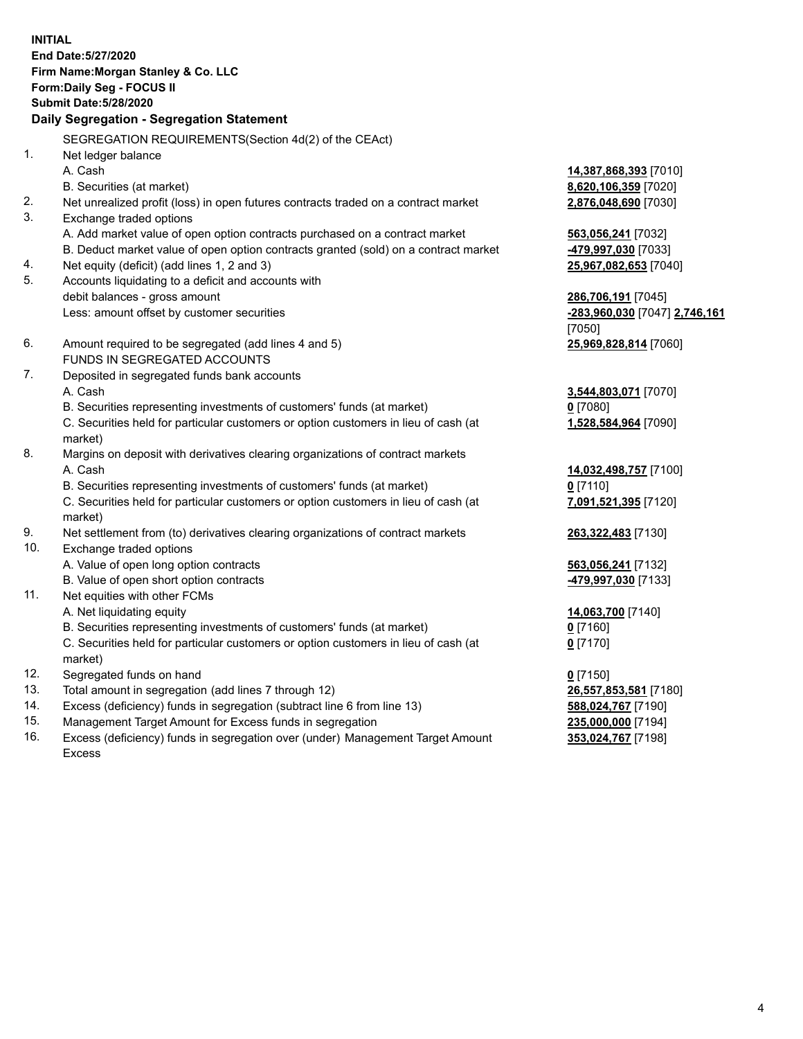**INITIAL End Date:5/27/2020 Firm Name:Morgan Stanley & Co. LLC Form:Daily Seg - FOCUS II Submit Date:5/28/2020 Daily Segregation - Segregation Statement** SEGREGATION REQUIREMENTS(Section 4d(2) of the CEAct) 1. Net ledger balance A. Cash **14,387,868,393** [7010] B. Securities (at market) **8,620,106,359** [7020] 2. Net unrealized profit (loss) in open futures contracts traded on a contract market **2,876,048,690** [7030] 3. Exchange traded options A. Add market value of open option contracts purchased on a contract market **563,056,241** [7032] B. Deduct market value of open option contracts granted (sold) on a contract market **-479,997,030** [7033] 4. Net equity (deficit) (add lines 1, 2 and 3) **25,967,082,653** [7040] 5. Accounts liquidating to a deficit and accounts with debit balances - gross amount **286,706,191** [7045] Less: amount offset by customer securities **-283,960,030** [7047] **2,746,161** [7050] 6. Amount required to be segregated (add lines 4 and 5) **25,969,828,814** [7060] FUNDS IN SEGREGATED ACCOUNTS 7. Deposited in segregated funds bank accounts A. Cash **3,544,803,071** [7070] B. Securities representing investments of customers' funds (at market) **0** [7080] C. Securities held for particular customers or option customers in lieu of cash (at market) **1,528,584,964** [7090] 8. Margins on deposit with derivatives clearing organizations of contract markets A. Cash **14,032,498,757** [7100] B. Securities representing investments of customers' funds (at market) **0** [7110] C. Securities held for particular customers or option customers in lieu of cash (at market) **7,091,521,395** [7120] 9. Net settlement from (to) derivatives clearing organizations of contract markets **263,322,483** [7130] 10. Exchange traded options A. Value of open long option contracts **563,056,241** [7132] B. Value of open short option contracts **-479,997,030** [7133] 11. Net equities with other FCMs A. Net liquidating equity **14,063,700** [7140] B. Securities representing investments of customers' funds (at market) **0** [7160] C. Securities held for particular customers or option customers in lieu of cash (at market) **0** [7170] 12. Segregated funds on hand **0** [7150] 13. Total amount in segregation (add lines 7 through 12) **26,557,853,581** [7180] 14. Excess (deficiency) funds in segregation (subtract line 6 from line 13) **588,024,767** [7190] 15. Management Target Amount for Excess funds in segregation **235,000,000** [7194]

16. Excess (deficiency) funds in segregation over (under) Management Target Amount Excess

**353,024,767** [7198]